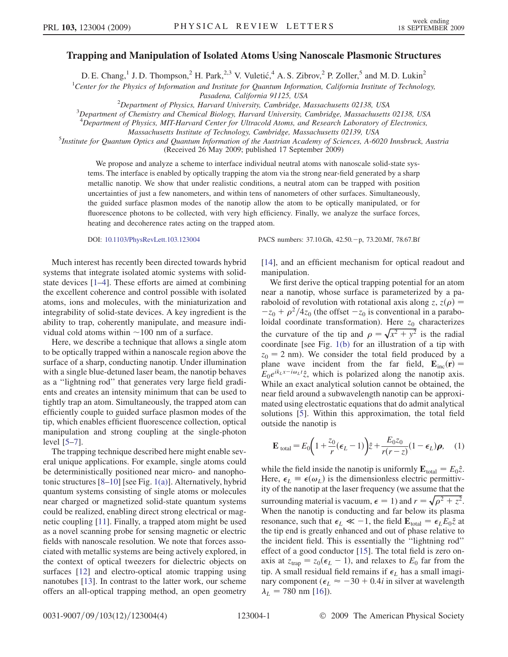## Trapping and Manipulation of Isolated Atoms Using Nanoscale Plasmonic Structures

D. E. Chang,<sup>1</sup> J. D. Thompson,<sup>2</sup> H. Park,<sup>2,3</sup> V. Vuletić,<sup>4</sup> A. S. Zibrov,<sup>2</sup> P. Zoller,<sup>5</sup> and M. D. Lukin<sup>2</sup>

<sup>1</sup>Center for the Physics of Information and Institute for Quantum Information, California Institute of Technology,

Pasadena, California 91125, USA<br><sup>2</sup> Department of Physics, Harvard University, Cambridge, N

<sup>2</sup> Department of Physics, Harvard University, Cambridge, Massachusetts 02138, USA<br><sup>3</sup> Department of Chemistry and Chemical Biology, Harvard University, Cambridge, Massachusetts

 $3$ Department of Chemistry and Chemical Biology, Harvard University, Cambridge, Massachusetts 02138, USA

<sup>4</sup>Department of Physics, MIT-Harvard Center for Ultracold Atoms, and Research Laboratory of Electronics,

Massachusetts Institute of Technology, Cambridge, Massachusetts 02139, USA <sup>5</sup>

<sup>5</sup>Institute for Quantum Optics and Quantum Information of the Austrian Academy of Sciences, A-6020 Innsbruck, Austria (Received 26 May 2009; published 17 September 2009)

We propose and analyze a scheme to interface individual neutral atoms with nanoscale solid-state systems. The interface is enabled by optically trapping the atom via the strong near-field generated by a sharp metallic nanotip. We show that under realistic conditions, a neutral atom can be trapped with position uncertainties of just a few nanometers, and within tens of nanometers of other surfaces. Simultaneously, the guided surface plasmon modes of the nanotip allow the atom to be optically manipulated, or for fluorescence photons to be collected, with very high efficiency. Finally, we analyze the surface forces, heating and decoherence rates acting on the trapped atom.

Much interest has recently been directed towards hybrid systems that integrate isolated atomic systems with solidstate devices [\[1–](#page-3-0)[4](#page-3-1)]. These efforts are aimed at combining the excellent coherence and control possible with isolated atoms, ions and molecules, with the miniaturization and integrability of solid-state devices. A key ingredient is the ability to trap, coherently manipulate, and measure individual cold atoms within  $\sim$ 100 nm of a surface.

Here, we describe a technique that allows a single atom to be optically trapped within a nanoscale region above the surface of a sharp, conducting nanotip. Under illumination with a single blue-detuned laser beam, the nanotip behaves as a ''lightning rod'' that generates very large field gradients and creates an intensity minimum that can be used to tightly trap an atom. Simultaneously, the trapped atom can efficiently couple to guided surface plasmon modes of the tip, which enables efficient fluorescence collection, optical manipulation and strong coupling at the single-photon level [[5–](#page-3-2)[7](#page-3-3)].

The trapping technique described here might enable several unique applications. For example, single atoms could be deterministically positioned near micro- and nanophotonic structures [\[8–](#page-3-4)[10](#page-3-5)] [see Fig. [1\(a\)](#page-1-0)]. Alternatively, hybrid quantum systems consisting of single atoms or molecules near charged or magnetized solid-state quantum systems could be realized, enabling direct strong electrical or magnetic coupling [\[11\]](#page-3-6). Finally, a trapped atom might be used as a novel scanning probe for sensing magnetic or electric fields with nanoscale resolution. We note that forces associated with metallic systems are being actively explored, in the context of optical tweezers for dielectric objects on surfaces [[12](#page-3-7)] and electro-optical atomic trapping using nanotubes [\[13\]](#page-3-8). In contrast to the latter work, our scheme offers an all-optical trapping method, an open geometry

DOI: [10.1103/PhysRevLett.103.123004](http://dx.doi.org/10.1103/PhysRevLett.103.123004) PACS numbers: 37.10.Gh, 42.50.p, 73.20.Mf, 78.67.Bf

[\[14\]](#page-3-9), and an efficient mechanism for optical readout and manipulation.

We first derive the optical trapping potential for an atom near a nanotip, whose surface is parameterized by a paraboloid of revolution with rotational axis along z,  $z(\rho) =$  $-z_0 + \rho^2/4z_0$  (the offset  $-z_0$  is conventional in a paraboloidal coordinate transformation). Here  $z_0$  characterizes the curvature of the tip and  $\rho = \sqrt{x^2 + y^2}$  is the radial coordinate [see Fig. [1\(b\)](#page-1-0) for an illustration of a tip with  $z_0 = 2$  nm). We consider the total field produced by a plane wave incident from the far field,  $\mathbf{E}_{inc}(\mathbf{r}) =$  $E_0e^{ik_Lx - i\omega_L t}\hat{z}$ , which is polarized along the nanotip axis. While an exact analytical solution cannot be obtained, the near field around a subwavelength nanotip can be approximated using electrostatic equations that do admit analytical solutions [\[5](#page-3-2)]. Within this approximation, the total field outside the nanotip is

$$
\mathbf{E}_{\text{total}} = E_0 \bigg( 1 + \frac{z_0}{r} (\epsilon_L - 1) \bigg) \hat{z} + \frac{E_0 z_0}{r(r - z)} (1 - \epsilon_L) \boldsymbol{\rho}, \quad (1)
$$

while the field inside the nanotip is uniformly  $\mathbf{E}_{total} = E_0 \hat{z}$ . Here,  $\epsilon_L \equiv \epsilon(\omega_L)$  is the dimensionless electric permittivity of the nanotip at the laser frequency (we assume that the surrounding material is vacuum,  $\epsilon = 1$ ) and  $r = \sqrt{\rho^2 + z^2}$ . When the nanotip is conducting and far below its plasma resonance, such that  $\epsilon_L \ll -1$ , the field  $\mathbf{E}_{\text{total}} = \epsilon_L E_0 \hat{z}$  at the tip end is greatly enhanced and out of phase relative to the incident field. This is essentially the ''lightning rod'' effect of a good conductor [\[15\]](#page-3-10). The total field is zero onaxis at  $z_{trap} = z_0(\epsilon_L - 1)$ , and relaxes to  $E_0$  far from the tip. A small residual field remains if  $\epsilon_L$  has a small imaginary component ( $\epsilon_L \approx -30 + 0.4i$  in silver at wavelength  $\lambda_L$  = 780 nm [\[16\]](#page-3-11)).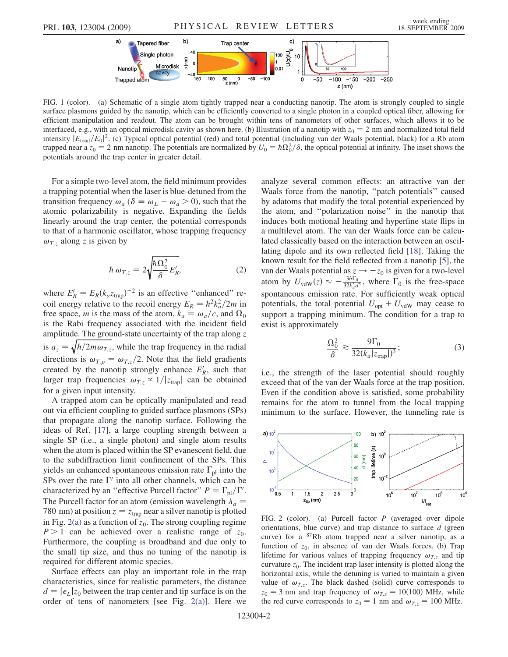

<span id="page-1-0"></span>FIG. 1 (color). (a) Schematic of a single atom tightly trapped near a conducting nanotip. The atom is strongly coupled to single surface plasmons guided by the nanotip, which can be efficiently converted to a single photon in a coupled optical fiber, allowing for efficient manipulation and readout. The atom can be brought within tens of nanometers of other surfaces, which allows it to be interfaced, e.g., with an optical microdisk cavity as shown here. (b) Illustration of a nanotip with  $z_0 = 2$  nm and normalized total field intensity  $|E_{\text{total}}/E_0|^2$ . (c) Typical optical potential (red) and total potential (including van der Waals potential, black) for a Rb atom trapped near a  $z_0 = 2$  nm nanotip. The potentials are normalized by  $U_0 = \hbar \Omega_0^2/\delta$ , the optical potential at infinity. The inset shows the potentials around the trap center in greater detail.

For a simple two-level atom, the field minimum provides a trapping potential when the laser is blue-detuned from the transition frequency  $\omega_a$  ( $\delta \equiv \omega_L - \omega_a > 0$ ), such that the atomic polarizability is negative. Expanding the fields linearly around the trap center, the potential corresponds to that of a harmonic oscillator, whose trapping frequency  $\omega_{T,z}$  along z is given by

$$
\hbar \,\omega_{T,z} = 2 \sqrt{\frac{\hbar \Omega_0^2}{\delta} E_R'},\tag{2}
$$

where  $E'_R = E_R(k_a z_{trap})^{-2}$  is an effective "enhanced" recoil energy relative to the recoil energy  $E_R = \hbar^2 k_a^2 / 2m$  in free space, *m* is the mass of the atom,  $k_a = \omega_a/c$ , and  $\Omega_0$ is the Rabi frequency associated with the incident field amplitude. The ground-state uncertainty of the trap along z is  $a_z = \sqrt{\hbar/2m\omega_{T,z}}$ , while the trap frequency in the radial directions is  $\omega_{T,\rho} = \omega_{T,z}/2$ . Note that the field gradients created by the nanotip strongly enhance  $E'_R$ , such that larger trap frequencies  $\omega_{T,z} \propto 1/|z_{trap}|$  can be obtained for a given input intensity.

A trapped atom can be optically manipulated and read out via efficient coupling to guided surface plasmons (SPs) that propagate along the nanotip surface. Following the ideas of Ref. [\[17\]](#page-3-12), a large coupling strength between a single SP (i.e., a single photon) and single atom results when the atom is placed within the SP evanescent field, due to the subdiffraction limit confinement of the SPs. This yields an enhanced spontaneous emission rate  $\Gamma_{\text{pl}}$  into the SPs over the rate  $\Gamma'$  into all other channels, which can be characterized by an "effective Purcell factor"  $P = \Gamma_{\text{pl}}/\Gamma'$ . The Purcell factor for an atom (emission wavelength  $\lambda_a$  = 780 nm) at position  $z = z_{trap}$  near a silver nanotip is plotted in Fig. [2\(a\)](#page-1-1) as a function of  $z_0$ . The strong coupling regime  $P > 1$  can be achieved over a realistic range of  $z_0$ . Furthermore, the coupling is broadband and due only to the small tip size, and thus no tuning of the nanotip is required for different atomic species.

Surface effects can play an important role in the trap characteristics, since for realistic parameters, the distance  $d = |\epsilon_L| z_0$  between the trap center and tip surface is on the order of tens of nanometers [see Fig. [2\(a\)](#page-1-1)]. Here we analyze several common effects: an attractive van der Waals force from the nanotip, ''patch potentials'' caused by adatoms that modify the total potential experienced by the atom, and ''polarization noise'' in the nanotip that induces both motional heating and hyperfine state flips in a multilevel atom. The van der Waals force can be calculated classically based on the interaction between an oscillating dipole and its own reflected field [[18](#page-3-13)]. Taking the known result for the field reflected from a nanotip [[5](#page-3-2)], the van der Waals potential as  $z \to -z_0$  is given for a two-level atom by  $U_{\text{vdW}}(z) \approx -\frac{3\hbar\Gamma_0}{32k_d^3 d^3}$ , where  $\Gamma_0$  is the free-space spontaneous emission rate. For sufficiently weak optical potentials, the total potential  $U_{\text{opt}} + U_{\text{vdW}}$  may cease to support a trapping minimum. The condition for a trap to exist is approximately

$$
\frac{\Omega_0^2}{\delta} \gtrsim \frac{9\Gamma_0}{32(k_a|z_{\text{trap}}|)^3};\tag{3}
$$

<span id="page-1-2"></span>i.e., the strength of the laser potential should roughly exceed that of the van der Waals force at the trap position. Even if the condition above is satisfied, some probability remains for the atom to tunnel from the local trapping minimum to the surface. However, the tunneling rate is



<span id="page-1-1"></span>FIG. 2 (color). (a) Purcell factor P (averaged over dipole orientations, blue curve) and trap distance to surface  $d$  (green curve) for a  $87Rb$  atom trapped near a silver nanotip, as a function of  $z_0$ , in absence of van der Waals forces. (b) Trap lifetime for various values of trapping frequency  $\omega_{T,z}$  and tip curvature  $z_0$ . The incident trap laser intensity is plotted along the horizontal axis, while the detuning is varied to maintain a given value of  $\omega_{T,z}$ . The black dashed (solid) curve corresponds to  $z_0 = 3$  nm and trap frequency of  $\omega_{T,z} = 10(100)$  MHz, while the red curve corresponds to  $z_0 = 1$  nm and  $\omega_{T,z} = 100$  MHz.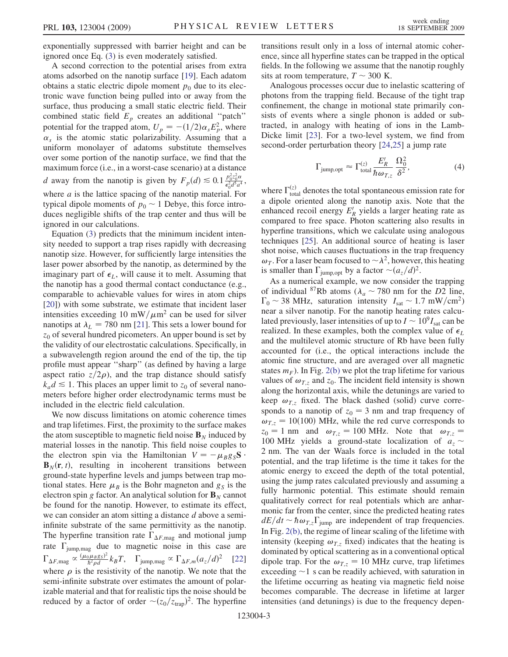exponentially suppressed with barrier height and can be ignored once Eq. ([3\)](#page-1-2) is even moderately satisfied.

A second correction to the potential arises from extra atoms adsorbed on the nanotip surface [\[19\]](#page-3-14). Each adatom obtains a static electric dipole moment  $p_0$  due to its electronic wave function being pulled into or away from the surface, thus producing a small static electric field. Their combined static field  $E_p$  creates an additional "patch" potential for the trapped atom,  $U_p = -(1/2)\alpha_s E_p^2$ , where  $\alpha_s$  is the atomic static polarizability. Assuming that a uniform monolayer of adatoms substitute themselves over some portion of the nanotip surface, we find that the maximum force (i.e., in a worst-case scenario) at a distance *d* away from the nanotip is given by  $F_p(d) \le 0.1 \frac{p_0^2 c_0^2 \alpha}{\epsilon_0^2 d^2 a^4}$ , where  $a$  is the lattice spacing of the nanotip material. For typical dipole moments of  $p_0 \sim 1$  Debye, this force introduces negligible shifts of the trap center and thus will be ignored in our calculations.

Equation [\(3](#page-1-2)) predicts that the minimum incident intensity needed to support a trap rises rapidly with decreasing nanotip size. However, for sufficiently large intensities the laser power absorbed by the nanotip, as determined by the imaginary part of  $\epsilon_L$ , will cause it to melt. Assuming that the nanotip has a good thermal contact conductance (e.g., comparable to achievable values for wires in atom chips [\[20\]](#page-3-15)) with some substrate, we estimate that incident laser intensities exceeding 10 mW/ $\mu$ m<sup>2</sup> can be used for silver nanotips at  $\lambda_L$  = 780 nm [[21](#page-3-16)]. This sets a lower bound for  $z_0$  of several hundred picometers. An upper bound is set by the validity of our electrostatic calculations. Specifically, in a subwavelength region around the end of the tip, the tip profile must appear ''sharp'' (as defined by having a large aspect ratio  $z/2\rho$ , and the trap distance should satisfy  $k_a d \leq 1$ . This places an upper limit to  $z_0$  of several nanometers before higher order electrodynamic terms must be included in the electric field calculation.

We now discuss limitations on atomic coherence times and trap lifetimes. First, the proximity to the surface makes the atom susceptible to magnetic field noise  $\mathbf{B}_N$  induced by material losses in the nanotip. This field noise couples to the electron spin via the Hamiltonian  $V = -\mu_B g_S S$ .  $\mathbf{B}_N(\mathbf{r}, t)$ , resulting in incoherent transitions between ground-state hyperfine levels and jumps between trap motional states. Here  $\mu_B$  is the Bohr magneton and  $g_S$  is the electron spin g factor. An analytical solution for  $\mathbf{B}_N$  cannot be found for the nanotip. However, to estimate its effect, we can consider an atom sitting a distance  $d$  above a semiinfinite substrate of the same permittivity as the nanotip. The hyperfine transition rate  $\Gamma_{\Delta F, \text{mag}}$  and motional jump rate  $\Gamma_{\text{jump,mag}}$  due to magnetic noise in this case are  $\Gamma_{\Delta F, \text{mag}} \propto \frac{(\mu_0 \mu_B g_S)^2}{\hbar^2 \rho d} k_B T$ ,  $\Gamma_{\text{jump,mag}} \propto \Gamma_{\Delta F, m} (a_z/d)^2$  [\[22\]](#page-3-17) where  $\rho$  is the resistivity of the nanotip. We note that the semi-infinite substrate over estimates the amount of polarizable material and that for realistic tips the noise should be reduced by a factor of order  $\sim (z_0/z_{trap})^2$ . The hyperfine transitions result only in a loss of internal atomic coherence, since all hyperfine states can be trapped in the optical fields. In the following we assume that the nanotip roughly sits at room temperature,  $T \sim 300$  K.

Analogous processes occur due to inelastic scattering of photons from the trapping field. Because of the tight trap confinement, the change in motional state primarily consists of events where a single phonon is added or subtracted, in analogy with heating of ions in the Lamb-Dicke limit [[23](#page-3-18)]. For a two-level system, we find from second-order perturbation theory [\[24](#page-3-19)[,25\]](#page-3-20) a jump rate

$$
\Gamma_{\text{jump,opt}} \approx \Gamma_{\text{total}}^{(z)} \frac{E_R'}{\hbar \omega_{T,z}} \frac{\Omega_0^2}{\delta^2},\tag{4}
$$

where  $\Gamma_{\text{total}}^{(z)}$  denotes the total spontaneous emission rate for a dipole oriented along the nanotip axis. Note that the enhanced recoil energy  $E'_R$  yields a larger heating rate as compared to free space. Photon scattering also results in hyperfine transitions, which we calculate using analogous techniques [\[25\]](#page-3-20). An additional source of heating is laser shot noise, which causes fluctuations in the trap frequency  $\omega_T$ . For a laser beam focused to  $\sim \lambda^2$ , however, this heating is smaller than  $\Gamma_{\text{jump,opt}}$  by a factor  $\sim (a_z/d)^2$ .

As a numerical example, we now consider the trapping of individual <sup>87</sup>Rb atoms ( $\lambda_a \sim 780$  nm for the D2 line,  $\Gamma_0 \sim 38 \text{ MHz}$ , saturation intensity  $I_{\text{sat}} \sim 1.7 \text{ mW/cm}^2$ ) near a silver nanotip. For the nanotip heating rates calculated previously, laser intensities of up to  $I \sim 10^9 I_{\text{sat}}$  can be realized. In these examples, both the complex value of  $\epsilon_L$ and the multilevel atomic structure of Rb have been fully accounted for (i.e., the optical interactions include the atomic fine structure, and are averaged over all magnetic states  $m_F$ ). In Fig. [2\(b\)](#page-1-1) we plot the trap lifetime for various values of  $\omega_{T,z}$  and  $z_0$ . The incident field intensity is shown along the horizontal axis, while the detunings are varied to keep  $\omega_{T,z}$  fixed. The black dashed (solid) curve corresponds to a nanotip of  $z_0 = 3$  nm and trap frequency of  $\omega_{T,z} = 10(100)$  MHz, while the red curve corresponds to  $z_0 = 1$  nm and  $\omega_{T,z} = 100$  MHz. Note that  $\omega_{T,z} =$ 100 MHz yields a ground-state localization of  $a_z \sim$ 2 nm. The van der Waals force is included in the total potential, and the trap lifetime is the time it takes for the atomic energy to exceed the depth of the total potential, using the jump rates calculated previously and assuming a fully harmonic potential. This estimate should remain qualitatively correct for real potentials which are anharmonic far from the center, since the predicted heating rates  $dE/dt \sim \hbar \omega_{T,z} \Gamma_{\text{jump}}$  are independent of trap frequencies. In Fig. [2\(b\),](#page-1-1) the regime of linear scaling of the lifetime with intensity (keeping  $\omega_{T,z}$  fixed) indicates that the heating is dominated by optical scattering as in a conventional optical dipole trap. For the  $\omega_{Tz} = 10$  MHz curve, trap lifetimes  $e$  exceeding  $\sim$ 1 s can be readily achieved, with saturation in the lifetime occurring as heating via magnetic field noise becomes comparable. The decrease in lifetime at larger intensities (and detunings) is due to the frequency depen-